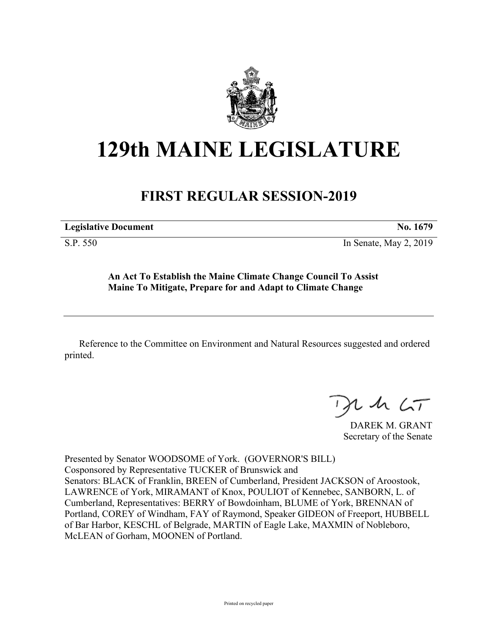

## **129th MAINE LEGISLATURE**

## **FIRST REGULAR SESSION-2019**

**Legislative Document No. 1679** S.P. 550 In Senate, May 2, 2019

**An Act To Establish the Maine Climate Change Council To Assist Maine To Mitigate, Prepare for and Adapt to Climate Change**

Reference to the Committee on Environment and Natural Resources suggested and ordered printed.

 $125$ 

DAREK M. GRANT Secretary of the Senate

Presented by Senator WOODSOME of York. (GOVERNOR'S BILL) Cosponsored by Representative TUCKER of Brunswick and Senators: BLACK of Franklin, BREEN of Cumberland, President JACKSON of Aroostook, LAWRENCE of York, MIRAMANT of Knox, POULIOT of Kennebec, SANBORN, L. of Cumberland, Representatives: BERRY of Bowdoinham, BLUME of York, BRENNAN of Portland, COREY of Windham, FAY of Raymond, Speaker GIDEON of Freeport, HUBBELL of Bar Harbor, KESCHL of Belgrade, MARTIN of Eagle Lake, MAXMIN of Nobleboro, McLEAN of Gorham, MOONEN of Portland.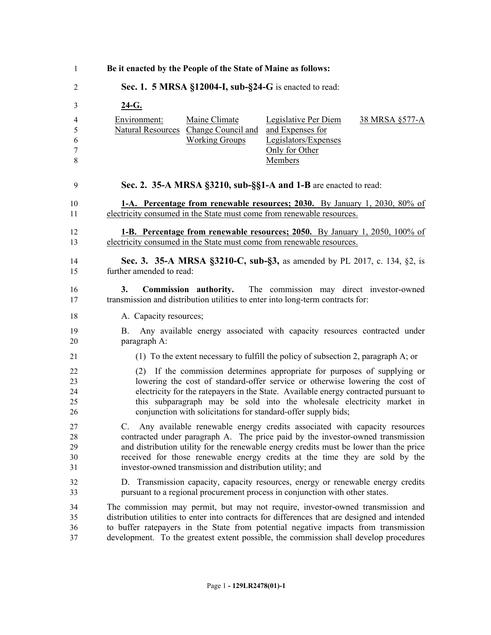| Be it enacted by the People of the State of Maine as follows: |                                                                                |                                                                                                                                                                                                                                                                                                                                                                                                |                |
|---------------------------------------------------------------|--------------------------------------------------------------------------------|------------------------------------------------------------------------------------------------------------------------------------------------------------------------------------------------------------------------------------------------------------------------------------------------------------------------------------------------------------------------------------------------|----------------|
|                                                               |                                                                                | Sec. 1. 5 MRSA §12004-I, sub-§24-G is enacted to read:                                                                                                                                                                                                                                                                                                                                         |                |
| <u>24-G.</u>                                                  |                                                                                |                                                                                                                                                                                                                                                                                                                                                                                                |                |
| Environment:                                                  | Maine Climate<br>Natural Resources Change Council and<br><b>Working Groups</b> | <b>Legislative Per Diem</b><br>and Expenses for<br>Legislators/Expenses<br>Only for Other<br>Members                                                                                                                                                                                                                                                                                           | 38 MRSA §577-A |
|                                                               |                                                                                | Sec. 2. 35-A MRSA §3210, sub-§§1-A and 1-B are enacted to read:                                                                                                                                                                                                                                                                                                                                |                |
|                                                               |                                                                                | 1-A. Percentage from renewable resources; 2030. By January 1, 2030, 80% of<br>electricity consumed in the State must come from renewable resources.                                                                                                                                                                                                                                            |                |
|                                                               |                                                                                | <b>1-B.</b> Percentage from renewable resources; 2050. By January 1, 2050, 100% of<br>electricity consumed in the State must come from renewable resources.                                                                                                                                                                                                                                    |                |
| further amended to read:                                      |                                                                                | Sec. 3. 35-A MRSA §3210-C, sub-§3, as amended by PL 2017, c. 134, §2, is                                                                                                                                                                                                                                                                                                                       |                |
| 3.                                                            |                                                                                | <b>Commission authority.</b> The commission may direct investor-owned<br>transmission and distribution utilities to enter into long-term contracts for:                                                                                                                                                                                                                                        |                |
| A. Capacity resources;                                        |                                                                                |                                                                                                                                                                                                                                                                                                                                                                                                |                |
| B.<br>paragraph A:                                            |                                                                                | Any available energy associated with capacity resources contracted under                                                                                                                                                                                                                                                                                                                       |                |
|                                                               |                                                                                | (1) To the extent necessary to fulfill the policy of subsection 2, paragraph A; or                                                                                                                                                                                                                                                                                                             |                |
|                                                               |                                                                                | (2) If the commission determines appropriate for purposes of supplying or<br>lowering the cost of standard-offer service or otherwise lowering the cost of<br>electricity for the ratepayers in the State. Available energy contracted pursuant to<br>this subparagraph may be sold into the wholesale electricity market in<br>conjunction with solicitations for standard-offer supply bids; |                |
| C.                                                            | investor-owned transmission and distribution utility; and                      | Any available renewable energy credits associated with capacity resources<br>contracted under paragraph A. The price paid by the investor-owned transmission<br>and distribution utility for the renewable energy credits must be lower than the price<br>received for those renewable energy credits at the time they are sold by the                                                         |                |
|                                                               |                                                                                | D. Transmission capacity, capacity resources, energy or renewable energy credits<br>pursuant to a regional procurement process in conjunction with other states.                                                                                                                                                                                                                               |                |
|                                                               |                                                                                | The commission may permit, but may not require, investor-owned transmission and<br>distribution utilities to enter into contracts for differences that are designed and intended<br>to buffer ratepayers in the State from potential negative impacts from transmission<br>development. To the greatest extent possible, the commission shall develop procedures                               |                |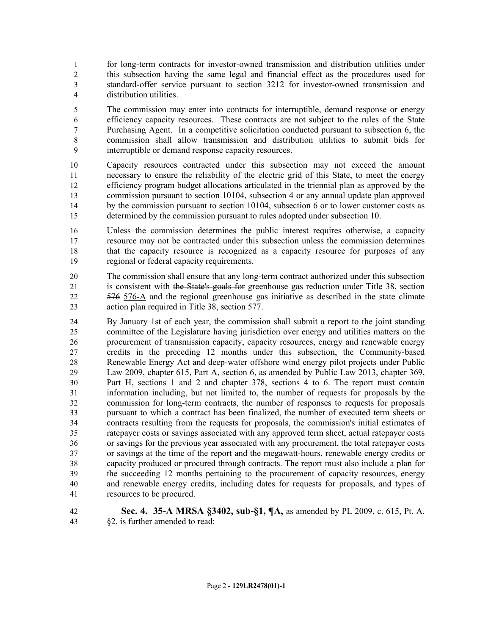for long-term contracts for investor-owned transmission and distribution utilities under this subsection having the same legal and financial effect as the procedures used for standard-offer service pursuant to section 3212 for investor-owned transmission and distribution utilities.

 The commission may enter into contracts for interruptible, demand response or energy efficiency capacity resources. These contracts are not subject to the rules of the State Purchasing Agent. In a competitive solicitation conducted pursuant to subsection 6, the commission shall allow transmission and distribution utilities to submit bids for interruptible or demand response capacity resources.

 Capacity resources contracted under this subsection may not exceed the amount necessary to ensure the reliability of the electric grid of this State, to meet the energy efficiency program budget allocations articulated in the triennial plan as approved by the commission pursuant to section 10104, subsection 4 or any annual update plan approved by the commission pursuant to section 10104, subsection 6 or to lower customer costs as determined by the commission pursuant to rules adopted under subsection 10.

 Unless the commission determines the public interest requires otherwise, a capacity resource may not be contracted under this subsection unless the commission determines that the capacity resource is recognized as a capacity resource for purposes of any regional or federal capacity requirements.

 The commission shall ensure that any long-term contract authorized under this subsection is consistent with the State's goals for greenhouse gas reduction under Title 38, section 576 576-A and the regional greenhouse gas initiative as described in the state climate action plan required in Title 38, section 577.

 By January 1st of each year, the commission shall submit a report to the joint standing committee of the Legislature having jurisdiction over energy and utilities matters on the procurement of transmission capacity, capacity resources, energy and renewable energy credits in the preceding 12 months under this subsection, the Community-based Renewable Energy Act and deep-water offshore wind energy pilot projects under Public Law 2009, chapter 615, Part A, section 6, as amended by Public Law 2013, chapter 369, Part H, sections 1 and 2 and chapter 378, sections 4 to 6. The report must contain information including, but not limited to, the number of requests for proposals by the commission for long-term contracts, the number of responses to requests for proposals pursuant to which a contract has been finalized, the number of executed term sheets or contracts resulting from the requests for proposals, the commission's initial estimates of ratepayer costs or savings associated with any approved term sheet, actual ratepayer costs or savings for the previous year associated with any procurement, the total ratepayer costs or savings at the time of the report and the megawatt-hours, renewable energy credits or capacity produced or procured through contracts. The report must also include a plan for the succeeding 12 months pertaining to the procurement of capacity resources, energy and renewable energy credits, including dates for requests for proposals, and types of resources to be procured.

 **Sec. 4. 35-A MRSA §3402, sub-§1, ¶A,** as amended by PL 2009, c. 615, Pt. A, §2, is further amended to read: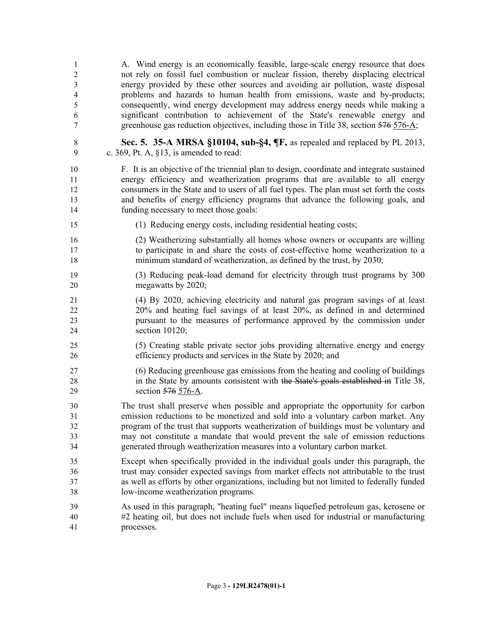| 1<br>$\overline{c}$          | A. Wind energy is an economically feasible, large-scale energy resource that does<br>not rely on fossil fuel combustion or nuclear fission, thereby displacing electrical    |
|------------------------------|------------------------------------------------------------------------------------------------------------------------------------------------------------------------------|
| 3<br>$\overline{\mathbf{4}}$ | energy provided by these other sources and avoiding air pollution, waste disposal<br>problems and hazards to human health from emissions, waste and by-products;             |
| 5                            | consequently, wind energy development may address energy needs while making a                                                                                                |
| 6                            | significant contribution to achievement of the State's renewable energy and                                                                                                  |
| $\boldsymbol{7}$             | greenhouse gas reduction objectives, including those in Title 38, section 576 576-A;                                                                                         |
| $\,8\,$<br>9                 | Sec. 5. 35-A MRSA §10104, sub-§4, ¶F, as repealed and replaced by PL 2013,<br>c. 369, Pt. A, $\S$ 13, is amended to read:                                                    |
| 10                           | F. It is an objective of the triennial plan to design, coordinate and integrate sustained                                                                                    |
| 11                           | energy efficiency and weatherization programs that are available to all energy                                                                                               |
| 12<br>13                     | consumers in the State and to users of all fuel types. The plan must set forth the costs<br>and benefits of energy efficiency programs that advance the following goals, and |
| 14                           | funding necessary to meet those goals:                                                                                                                                       |
| 15                           | (1) Reducing energy costs, including residential heating costs;                                                                                                              |
| 16                           | (2) Weatherizing substantially all homes whose owners or occupants are willing                                                                                               |
| 17                           | to participate in and share the costs of cost-effective home weatherization to a                                                                                             |
| 18                           | minimum standard of weatherization, as defined by the trust, by 2030;                                                                                                        |
| 19<br>20                     | (3) Reducing peak-load demand for electricity through trust programs by 300<br>megawatts by 2020;                                                                            |
| 21                           | (4) By 2020, achieving electricity and natural gas program savings of at least                                                                                               |
| 22                           | 20% and heating fuel savings of at least 20%, as defined in and determined                                                                                                   |
| 23<br>24                     | pursuant to the measures of performance approved by the commission under<br>section 10120;                                                                                   |
| 25                           | (5) Creating stable private sector jobs providing alternative energy and energy                                                                                              |
| 26                           | efficiency products and services in the State by 2020; and                                                                                                                   |
| 27                           | (6) Reducing greenhouse gas emissions from the heating and cooling of buildings                                                                                              |
| 28                           | in the State by amounts consistent with the State's goals established in Title 38,                                                                                           |
| 29                           | section 576 576-A.                                                                                                                                                           |
| 30                           | The trust shall preserve when possible and appropriate the opportunity for carbon                                                                                            |
| 31<br>32                     | emission reductions to be monetized and sold into a voluntary carbon market. Any<br>program of the trust that supports weatherization of buildings must be voluntary and     |
| 33                           | may not constitute a mandate that would prevent the sale of emission reductions                                                                                              |
| 34                           | generated through weatherization measures into a voluntary carbon market.                                                                                                    |
| 35                           | Except when specifically provided in the individual goals under this paragraph, the                                                                                          |
| 36                           | trust may consider expected savings from market effects not attributable to the trust                                                                                        |
| 37                           | as well as efforts by other organizations, including but not limited to federally funded                                                                                     |
| 38                           | low-income weatherization programs.                                                                                                                                          |
| 39                           | As used in this paragraph, "heating fuel" means liquefied petroleum gas, kerosene or                                                                                         |
| 40<br>41                     | #2 heating oil, but does not include fuels when used for industrial or manufacturing<br>processes.                                                                           |
|                              |                                                                                                                                                                              |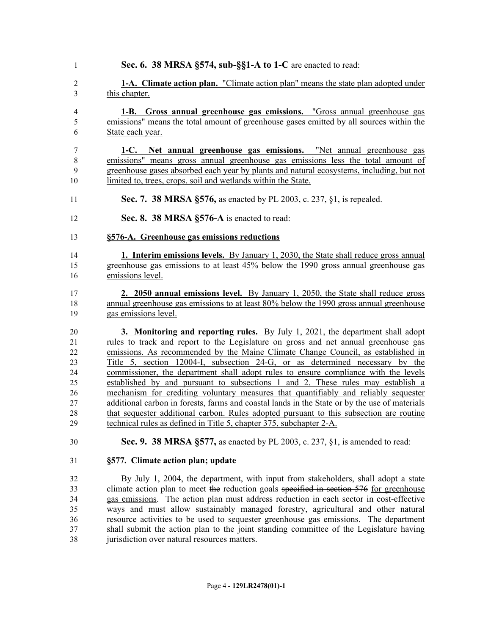| $\mathbf{1}$  | Sec. 6. 38 MRSA §574, sub-§§1-A to 1-C are enacted to read:                                   |
|---------------|-----------------------------------------------------------------------------------------------|
| 2             | <b>1-A.</b> Climate action plan. "Climate action plan" means the state plan adopted under     |
| 3             | this chapter.                                                                                 |
| 4             | 1-B. Gross annual greenhouse gas emissions. "Gross annual greenhouse gas                      |
| 5             | emissions" means the total amount of greenhouse gases emitted by all sources within the       |
| 6             | State each year.                                                                              |
| 7             | 1-C. Net annual greenhouse gas emissions. "Net annual greenhouse gas                          |
| 8             | emissions" means gross annual greenhouse gas emissions less the total amount of               |
| 9             | greenhouse gases absorbed each year by plants and natural ecosystems, including, but not      |
| 10            | limited to, trees, crops, soil and wetlands within the State.                                 |
| 11            | Sec. 7. 38 MRSA §576, as enacted by PL 2003, c. 237, §1, is repealed.                         |
| 12            | Sec. 8. 38 MRSA §576-A is enacted to read:                                                    |
| 13            | §576-A. Greenhouse gas emissions reductions                                                   |
| 14            | <b>1. Interim emissions levels.</b> By January 1, 2030, the State shall reduce gross annual   |
| 15            | greenhouse gas emissions to at least 45% below the 1990 gross annual greenhouse gas           |
| 16            | emissions level.                                                                              |
| 17            | 2. 2050 annual emissions level. By January 1, 2050, the State shall reduce gross              |
| 18            | annual greenhouse gas emissions to at least 80% below the 1990 gross annual greenhouse        |
| 19            | gas emissions level.                                                                          |
| 20            | <b>3. Monitoring and reporting rules.</b> By July 1, 2021, the department shall adopt         |
| 21            | rules to track and report to the Legislature on gross and net annual greenhouse gas           |
| 22            | emissions. As recommended by the Maine Climate Change Council, as established in              |
| 23            | Title 5, section 12004-I, subsection 24-G, or as determined necessary by the                  |
| 24            | commissioner, the department shall adopt rules to ensure compliance with the levels           |
| 25            | established by and pursuant to subsections 1 and 2. These rules may establish a               |
| 26            | mechanism for crediting voluntary measures that quantifiably and reliably sequester           |
| 27            | additional carbon in forests, farms and coastal lands in the State or by the use of materials |
| 28            | that sequester additional carbon. Rules adopted pursuant to this subsection are routine       |
| 29            | technical rules as defined in Title 5, chapter 375, subchapter 2-A.                           |
| 30            | <b>Sec. 9. 38 MRSA §577, as enacted by PL 2003, c. 237, §1, is amended to read:</b>           |
| 31            | §577. Climate action plan; update                                                             |
|               |                                                                                               |
| 32            | By July 1, 2004, the department, with input from stakeholders, shall adopt a state            |
| 33            | climate action plan to meet the reduction goals specified in section 576 for greenhouse       |
| 34            | gas emissions. The action plan must address reduction in each sector in cost-effective        |
| $\sim$ $\sim$ |                                                                                               |

 ways and must allow sustainably managed forestry, agricultural and other natural resource activities to be used to sequester greenhouse gas emissions. The department shall submit the action plan to the joint standing committee of the Legislature having jurisdiction over natural resources matters.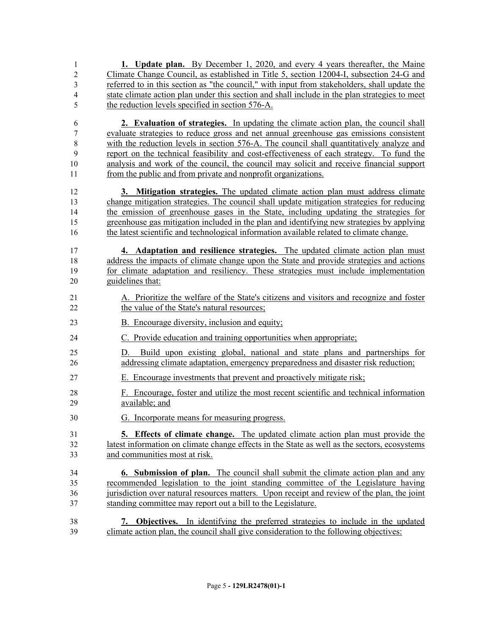- **1. Update plan.** By December 1, 2020, and every 4 years thereafter, the Maine Climate Change Council, as established in Title 5, section 12004-I, subsection 24-G and referred to in this section as "the council," with input from stakeholders, shall update the state climate action plan under this section and shall include in the plan strategies to meet the reduction levels specified in section 576-A.
- **2. Evaluation of strategies.** In updating the climate action plan, the council shall evaluate strategies to reduce gross and net annual greenhouse gas emissions consistent with the reduction levels in section 576-A. The council shall quantitatively analyze and report on the technical feasibility and cost-effectiveness of each strategy. To fund the analysis and work of the council, the council may solicit and receive financial support from the public and from private and nonprofit organizations.
- **3. Mitigation strategies.** The updated climate action plan must address climate change mitigation strategies. The council shall update mitigation strategies for reducing the emission of greenhouse gases in the State, including updating the strategies for greenhouse gas mitigation included in the plan and identifying new strategies by applying the latest scientific and technological information available related to climate change.
- **4. Adaptation and resilience strategies.** The updated climate action plan must address the impacts of climate change upon the State and provide strategies and actions for climate adaptation and resiliency. These strategies must include implementation guidelines that:
- A. Prioritize the welfare of the State's citizens and visitors and recognize and foster 22 the value of the State's natural resources;
- 23 B. Encourage diversity, inclusion and equity;
- C. Provide education and training opportunities when appropriate;
- D. Build upon existing global, national and state plans and partnerships for addressing climate adaptation, emergency preparedness and disaster risk reduction;
- E. Encourage investments that prevent and proactively mitigate risk;
- F. Encourage, foster and utilize the most recent scientific and technical information available; and
- G. Incorporate means for measuring progress.
- **5. Effects of climate change.** The updated climate action plan must provide the latest information on climate change effects in the State as well as the sectors, ecosystems and communities most at risk.
- **6. Submission of plan.** The council shall submit the climate action plan and any recommended legislation to the joint standing committee of the Legislature having jurisdiction over natural resources matters. Upon receipt and review of the plan, the joint standing committee may report out a bill to the Legislature.
- **7. Objectives.** In identifying the preferred strategies to include in the updated climate action plan, the council shall give consideration to the following objectives: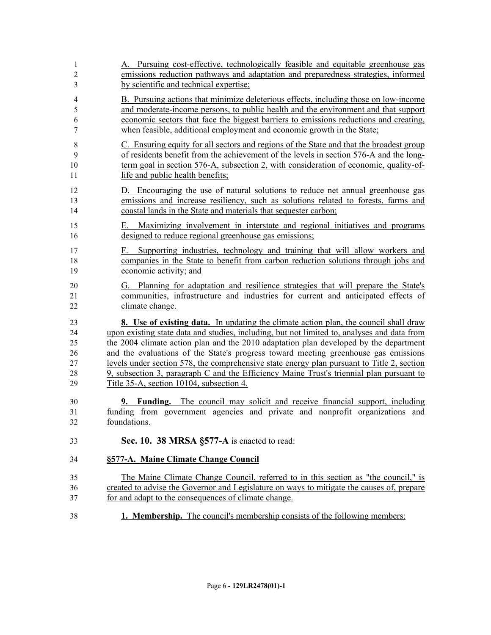| 1<br>$\overline{2}$<br>3 | A. Pursuing cost-effective, technologically feasible and equitable greenhouse gas<br>emissions reduction pathways and adaptation and preparedness strategies, informed<br>by scientific and technical expertise; |
|--------------------------|------------------------------------------------------------------------------------------------------------------------------------------------------------------------------------------------------------------|
| $\overline{\mathbf{4}}$  | B. Pursuing actions that minimize deleterious effects, including those on low-income                                                                                                                             |
| 5                        | and moderate-income persons, to public health and the environment and that support                                                                                                                               |
| 6<br>7                   | economic sectors that face the biggest barriers to emissions reductions and creating,<br>when feasible, additional employment and economic growth in the State;                                                  |
| $\,$ 8 $\,$              | C. Ensuring equity for all sectors and regions of the State and that the broadest group                                                                                                                          |
| 9<br>10                  | of residents benefit from the achievement of the levels in section 576-A and the long-<br>term goal in section 576-A, subsection 2, with consideration of economic, quality-of-                                  |
| 11                       | life and public health benefits;                                                                                                                                                                                 |
| 12                       | D. Encouraging the use of natural solutions to reduce net annual greenhouse gas                                                                                                                                  |
| 13<br>14                 | emissions and increase resiliency, such as solutions related to forests, farms and<br>coastal lands in the State and materials that sequester carbon;                                                            |
| 15                       | Maximizing involvement in interstate and regional initiatives and programs<br>Е.                                                                                                                                 |
| 16                       | designed to reduce regional greenhouse gas emissions;                                                                                                                                                            |
| 17                       | Supporting industries, technology and training that will allow workers and<br>F.                                                                                                                                 |
| 18                       | companies in the State to benefit from carbon reduction solutions through jobs and                                                                                                                               |
| 19                       | economic activity; and                                                                                                                                                                                           |
| 20                       | Planning for adaptation and resilience strategies that will prepare the State's<br>G.                                                                                                                            |
| 21<br>22                 | communities, infrastructure and industries for current and anticipated effects of<br>climate change.                                                                                                             |
|                          |                                                                                                                                                                                                                  |
| 23<br>24                 | 8. Use of existing data. In updating the climate action plan, the council shall draw<br>upon existing state data and studies, including, but not limited to, analyses and data from                              |
| 25                       | the 2004 climate action plan and the 2010 adaptation plan developed by the department                                                                                                                            |
| 26                       | and the evaluations of the State's progress toward meeting greenhouse gas emissions                                                                                                                              |
| 27                       | levels under section 578, the comprehensive state energy plan pursuant to Title 2, section                                                                                                                       |
| 28<br>29                 | 9, subsection 3, paragraph C and the Efficiency Maine Trust's triennial plan pursuant to<br>Title 35-A, section 10104, subsection 4.                                                                             |
|                          |                                                                                                                                                                                                                  |
| 30                       | <b>9. Funding.</b> The council may solicit and receive financial support, including                                                                                                                              |
| 31                       | funding from government agencies and private and nonprofit organizations and                                                                                                                                     |
| 32                       | foundations.                                                                                                                                                                                                     |
| 33                       | Sec. 10. 38 MRSA §577-A is enacted to read:                                                                                                                                                                      |
| 34                       | §577-A. Maine Climate Change Council                                                                                                                                                                             |
| 35                       | The Maine Climate Change Council, referred to in this section as "the council," is                                                                                                                               |
| 36                       | created to advise the Governor and Legislature on ways to mitigate the causes of, prepare                                                                                                                        |
| 37                       | for and adapt to the consequences of climate change.                                                                                                                                                             |
| 38                       | <b>1. Membership.</b> The council's membership consists of the following members:                                                                                                                                |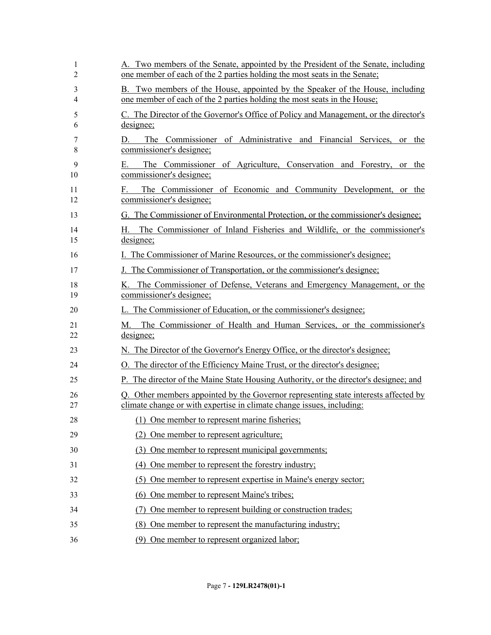| 1<br>2   | A. Two members of the Senate, appointed by the President of the Senate, including<br>one member of each of the 2 parties holding the most seats in the Senate; |
|----------|----------------------------------------------------------------------------------------------------------------------------------------------------------------|
| 3<br>4   | B. Two members of the House, appointed by the Speaker of the House, including<br>one member of each of the 2 parties holding the most seats in the House;      |
| 5<br>6   | C. The Director of the Governor's Office of Policy and Management, or the director's<br>designee;                                                              |
| 7<br>8   | The Commissioner of Administrative and Financial Services, or the<br>D.<br>commissioner's designee;                                                            |
| 9<br>10  | The Commissioner of Agriculture, Conservation and Forestry, or the<br>Е.<br>commissioner's designee;                                                           |
| 11<br>12 | The Commissioner of Economic and Community Development, or the<br>F.<br>commissioner's designee;                                                               |
| 13       | G. The Commissioner of Environmental Protection, or the commissioner's designee;                                                                               |
| 14<br>15 | The Commissioner of Inland Fisheries and Wildlife, or the commissioner's<br>H. .<br>designee;                                                                  |
| 16       | I. The Commissioner of Marine Resources, or the commissioner's designee;                                                                                       |
| 17       | J. The Commissioner of Transportation, or the commissioner's designee;                                                                                         |
| 18<br>19 | K. The Commissioner of Defense, Veterans and Emergency Management, or the<br>commissioner's designee;                                                          |
| 20       | L. The Commissioner of Education, or the commissioner's designee;                                                                                              |
| 21<br>22 | M. The Commissioner of Health and Human Services, or the commissioner's<br>designee;                                                                           |
| 23       | N. The Director of the Governor's Energy Office, or the director's designee;                                                                                   |
| 24       | O. The director of the Efficiency Maine Trust, or the director's designee;                                                                                     |
| 25       | P. The director of the Maine State Housing Authority, or the director's designee; and                                                                          |
| 26<br>27 | Q. Other members appointed by the Governor representing state interests affected by<br>climate change or with expertise in climate change issues, including:   |
| 28       | (1) One member to represent marine fisheries;                                                                                                                  |
| 29       | (2) One member to represent agriculture;                                                                                                                       |
| 30       | (3) One member to represent municipal governments;                                                                                                             |
| 31       | (4) One member to represent the forestry industry;                                                                                                             |
| 32       | (5) One member to represent expertise in Maine's energy sector;                                                                                                |
| 33       | (6) One member to represent Maine's tribes;                                                                                                                    |
| 34       | One member to represent building or construction trades;                                                                                                       |
| 35       | (8) One member to represent the manufacturing industry;                                                                                                        |
| 36       | (9) One member to represent organized labor;                                                                                                                   |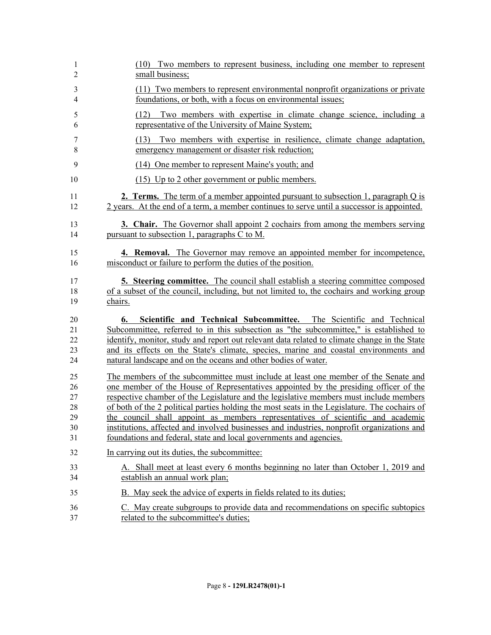| 1                          | (10) Two members to represent business, including one member to represent                                                                                                                                                                                                                                                                                                                                                    |
|----------------------------|------------------------------------------------------------------------------------------------------------------------------------------------------------------------------------------------------------------------------------------------------------------------------------------------------------------------------------------------------------------------------------------------------------------------------|
| $\overline{2}$             | small business;                                                                                                                                                                                                                                                                                                                                                                                                              |
| 3                          | (11) Two members to represent environmental nonprofit organizations or private                                                                                                                                                                                                                                                                                                                                               |
| $\overline{4}$             | foundations, or both, with a focus on environmental issues;                                                                                                                                                                                                                                                                                                                                                                  |
| 5                          | (12) Two members with expertise in climate change science, including a                                                                                                                                                                                                                                                                                                                                                       |
| 6                          | representative of the University of Maine System;                                                                                                                                                                                                                                                                                                                                                                            |
| 7                          | (13) Two members with expertise in resilience, climate change adaptation,                                                                                                                                                                                                                                                                                                                                                    |
| 8                          | emergency management or disaster risk reduction;                                                                                                                                                                                                                                                                                                                                                                             |
| 9                          | (14) One member to represent Maine's youth; and                                                                                                                                                                                                                                                                                                                                                                              |
| 10                         | (15) Up to 2 other government or public members.                                                                                                                                                                                                                                                                                                                                                                             |
| 11                         | <b>2. Terms.</b> The term of a member appointed pursuant to subsection 1, paragraph Q is                                                                                                                                                                                                                                                                                                                                     |
| 12                         | 2 years. At the end of a term, a member continues to serve until a successor is appointed.                                                                                                                                                                                                                                                                                                                                   |
| 13                         | <b>3. Chair.</b> The Governor shall appoint 2 cochairs from among the members serving                                                                                                                                                                                                                                                                                                                                        |
| 14                         | pursuant to subsection 1, paragraphs C to M.                                                                                                                                                                                                                                                                                                                                                                                 |
| 15                         | <b>4. Removal.</b> The Governor may remove an appointed member for incompetence,                                                                                                                                                                                                                                                                                                                                             |
| 16                         | misconduct or failure to perform the duties of the position.                                                                                                                                                                                                                                                                                                                                                                 |
| 17                         | <b>5. Steering committee.</b> The council shall establish a steering committee composed                                                                                                                                                                                                                                                                                                                                      |
| 18                         | of a subset of the council, including, but not limited to, the cochairs and working group                                                                                                                                                                                                                                                                                                                                    |
| 19                         | chairs.                                                                                                                                                                                                                                                                                                                                                                                                                      |
| 20<br>21<br>22<br>23<br>24 | Scientific and Technical Subcommittee. The Scientific and Technical<br>6.<br>Subcommittee, referred to in this subsection as "the subcommittee," is established to<br>identify, monitor, study and report out relevant data related to climate change in the State<br>and its effects on the State's climate, species, marine and coastal environments and<br>natural landscape and on the oceans and other bodies of water. |
| 25                         | The members of the subcommittee must include at least one member of the Senate and                                                                                                                                                                                                                                                                                                                                           |
| 26                         | one member of the House of Representatives appointed by the presiding officer of the                                                                                                                                                                                                                                                                                                                                         |
| 27                         | respective chamber of the Legislature and the legislative members must include members                                                                                                                                                                                                                                                                                                                                       |
| 28                         | of both of the 2 political parties holding the most seats in the Legislature. The cochairs of                                                                                                                                                                                                                                                                                                                                |
| 29                         | the council shall appoint as members representatives of scientific and academic                                                                                                                                                                                                                                                                                                                                              |
| 30                         | institutions, affected and involved businesses and industries, nonprofit organizations and                                                                                                                                                                                                                                                                                                                                   |
| 31                         | foundations and federal, state and local governments and agencies.                                                                                                                                                                                                                                                                                                                                                           |
| 32                         | In carrying out its duties, the subcommittee:                                                                                                                                                                                                                                                                                                                                                                                |
| 33                         | A. Shall meet at least every 6 months beginning no later than October 1, 2019 and                                                                                                                                                                                                                                                                                                                                            |
| 34                         | establish an annual work plan;                                                                                                                                                                                                                                                                                                                                                                                               |
| 35                         | B. May seek the advice of experts in fields related to its duties;                                                                                                                                                                                                                                                                                                                                                           |
| 36                         | C. May create subgroups to provide data and recommendations on specific subtopics                                                                                                                                                                                                                                                                                                                                            |
| 37                         | related to the subcommittee's duties;                                                                                                                                                                                                                                                                                                                                                                                        |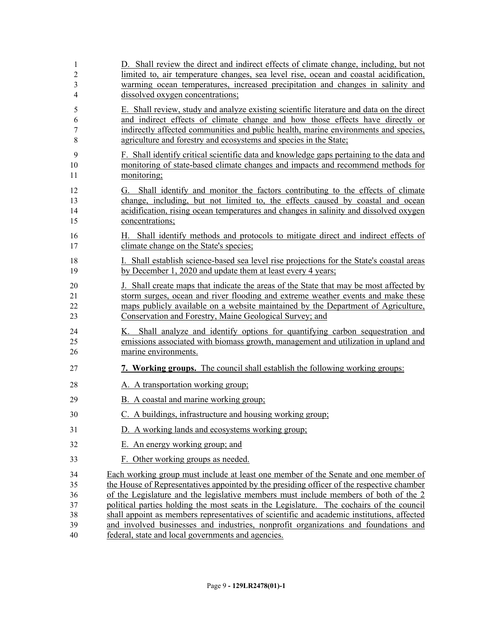| 1<br>$\overline{2}$<br>3<br>$\overline{4}$ | D. Shall review the direct and indirect effects of climate change, including, but not<br>limited to, air temperature changes, sea level rise, ocean and coastal acidification,<br>warming ocean temperatures, increased precipitation and changes in salinity and<br>dissolved oxygen concentrations;                                                                                                                                                                                                                                                     |
|--------------------------------------------|-----------------------------------------------------------------------------------------------------------------------------------------------------------------------------------------------------------------------------------------------------------------------------------------------------------------------------------------------------------------------------------------------------------------------------------------------------------------------------------------------------------------------------------------------------------|
| 5<br>6<br>7<br>8                           | E. Shall review, study and analyze existing scientific literature and data on the direct<br>and indirect effects of climate change and how those effects have directly or<br>indirectly affected communities and public health, marine environments and species,<br>agriculture and forestry and ecosystems and species in the State;                                                                                                                                                                                                                     |
| 9<br>10<br>11                              | F. Shall identify critical scientific data and knowledge gaps pertaining to the data and<br>monitoring of state-based climate changes and impacts and recommend methods for<br>monitoring;                                                                                                                                                                                                                                                                                                                                                                |
| 12<br>13<br>14<br>15                       | Shall identify and monitor the factors contributing to the effects of climate<br>G.<br>change, including, but not limited to, the effects caused by coastal and ocean<br>acidification, rising ocean temperatures and changes in salinity and dissolved oxygen<br>concentrations;                                                                                                                                                                                                                                                                         |
| 16<br>17                                   | H. Shall identify methods and protocols to mitigate direct and indirect effects of<br>climate change on the State's species;                                                                                                                                                                                                                                                                                                                                                                                                                              |
| 18<br>19                                   | I. Shall establish science-based sea level rise projections for the State's coastal areas<br>by December 1, 2020 and update them at least every 4 years;                                                                                                                                                                                                                                                                                                                                                                                                  |
| 20<br>21<br>22<br>23                       | J. Shall create maps that indicate the areas of the State that may be most affected by<br>storm surges, ocean and river flooding and extreme weather events and make these<br>maps publicly available on a website maintained by the Department of Agriculture,<br>Conservation and Forestry, Maine Geological Survey; and                                                                                                                                                                                                                                |
| 24<br>25<br>26                             | K. Shall analyze and identify options for quantifying carbon sequestration and<br>emissions associated with biomass growth, management and utilization in upland and<br>marine environments.                                                                                                                                                                                                                                                                                                                                                              |
| 27                                         | <b>7. Working groups.</b> The council shall establish the following working groups:                                                                                                                                                                                                                                                                                                                                                                                                                                                                       |
| 28                                         | A. A transportation working group;                                                                                                                                                                                                                                                                                                                                                                                                                                                                                                                        |
| 29                                         | B. A coastal and marine working group;                                                                                                                                                                                                                                                                                                                                                                                                                                                                                                                    |
| 30                                         | C. A buildings, infrastructure and housing working group;                                                                                                                                                                                                                                                                                                                                                                                                                                                                                                 |
| 31                                         | D. A working lands and ecosystems working group;                                                                                                                                                                                                                                                                                                                                                                                                                                                                                                          |
| 32                                         | E. An energy working group; and                                                                                                                                                                                                                                                                                                                                                                                                                                                                                                                           |
| 33                                         | F. Other working groups as needed.                                                                                                                                                                                                                                                                                                                                                                                                                                                                                                                        |
| 34<br>35<br>36<br>37<br>38<br>39           | Each working group must include at least one member of the Senate and one member of<br>the House of Representatives appointed by the presiding officer of the respective chamber<br>of the Legislature and the legislative members must include members of both of the 2<br>political parties holding the most seats in the Legislature. The cochairs of the council<br>shall appoint as members representatives of scientific and academic institutions, affected<br>and involved businesses and industries, nonprofit organizations and foundations and |
| 40                                         | federal, state and local governments and agencies.                                                                                                                                                                                                                                                                                                                                                                                                                                                                                                        |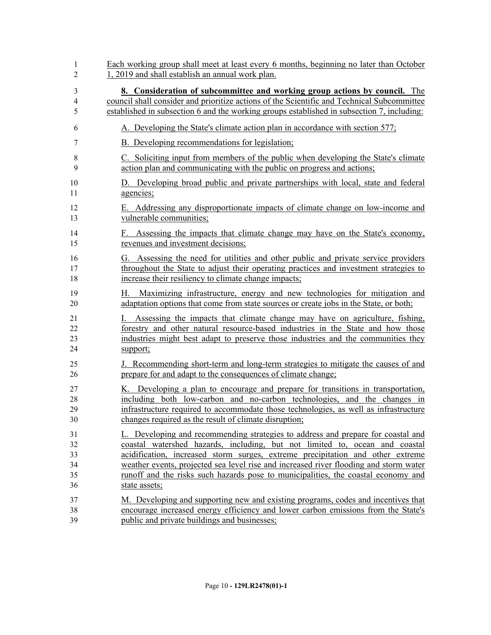| 1        | Each working group shall meet at least every 6 months, beginning no later than October                                                                                   |
|----------|--------------------------------------------------------------------------------------------------------------------------------------------------------------------------|
| 2        | 1, 2019 and shall establish an annual work plan.                                                                                                                         |
| 3        | 8. Consideration of subcommittee and working group actions by council. The                                                                                               |
| 4        | council shall consider and prioritize actions of the Scientific and Technical Subcommittee                                                                               |
| 5        | established in subsection 6 and the working groups established in subsection 7, including:                                                                               |
| 6        | A. Developing the State's climate action plan in accordance with section 577;                                                                                            |
| 7        | B. Developing recommendations for legislation;                                                                                                                           |
| 8        | C. Soliciting input from members of the public when developing the State's climate                                                                                       |
| 9        | action plan and communicating with the public on progress and actions;                                                                                                   |
| 10       | D. Developing broad public and private partnerships with local, state and federal                                                                                        |
| 11       | agencies;                                                                                                                                                                |
| 12       | E. Addressing any disproportionate impacts of climate change on low-income and                                                                                           |
| 13       | vulnerable communities;                                                                                                                                                  |
| 14<br>15 | Assessing the impacts that climate change may have on the State's economy,<br>F.<br>revenues and investment decisions;                                                   |
| 16       | G. Assessing the need for utilities and other public and private service providers                                                                                       |
| 17       | throughout the State to adjust their operating practices and investment strategies to                                                                                    |
| 18       | increase their resiliency to climate change impacts;                                                                                                                     |
| 19<br>20 | Maximizing infrastructure, energy and new technologies for mitigation and<br>Н.<br>adaptation options that come from state sources or create jobs in the State, or both; |
| 21       | Assessing the impacts that climate change may have on agriculture, fishing,                                                                                              |
| 22       | forestry and other natural resource-based industries in the State and how those                                                                                          |
| 23       | industries might best adapt to preserve those industries and the communities they                                                                                        |
| 24       | support;                                                                                                                                                                 |
| 25       | J. Recommending short-term and long-term strategies to mitigate the causes of and                                                                                        |
| 26       | prepare for and adapt to the consequences of climate change;                                                                                                             |
| 27       | K. Developing a plan to encourage and prepare for transitions in transportation,                                                                                         |
| 28       | including both low-carbon and no-carbon technologies, and the changes in                                                                                                 |
| 29       | infrastructure required to accommodate those technologies, as well as infrastructure                                                                                     |
| 30       | changes required as the result of climate disruption;                                                                                                                    |
| 31       | L. Developing and recommending strategies to address and prepare for coastal and                                                                                         |
| 32       | coastal watershed hazards, including, but not limited to, ocean and coastal                                                                                              |
| 33       | acidification, increased storm surges, extreme precipitation and other extreme                                                                                           |
| 34       | weather events, projected sea level rise and increased river flooding and storm water                                                                                    |
| 35       | runoff and the risks such hazards pose to municipalities, the coastal economy and                                                                                        |
| 36       | state assets;                                                                                                                                                            |
| 37       | M. Developing and supporting new and existing programs, codes and incentives that                                                                                        |
| 38       | encourage increased energy efficiency and lower carbon emissions from the State's                                                                                        |
| 39       | public and private buildings and businesses;                                                                                                                             |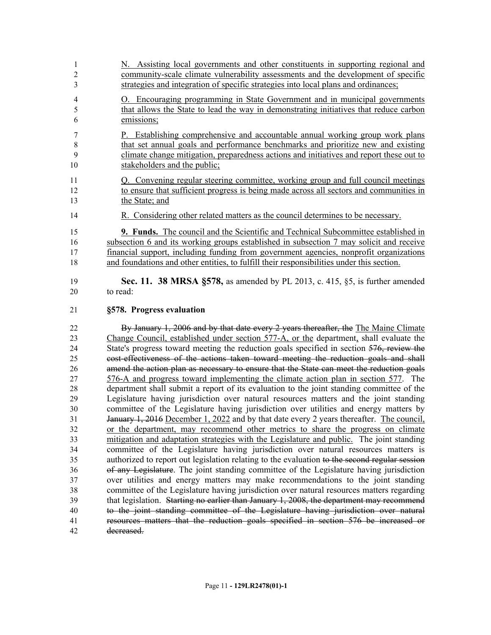| 1              | N. Assisting local governments and other constituents in supporting regional and          |
|----------------|-------------------------------------------------------------------------------------------|
| 2              | community-scale climate vulnerability assessments and the development of specific         |
| 3              | strategies and integration of specific strategies into local plans and ordinances;        |
| $\overline{4}$ | O. Encouraging programming in State Government and in municipal governments               |
| 5              | that allows the State to lead the way in demonstrating initiatives that reduce carbon     |
| 6              | emissions;                                                                                |
| 7              | Establishing comprehensive and accountable annual working group work plans                |
| 8              | that set annual goals and performance benchmarks and prioritize new and existing          |
| 9              | climate change mitigation, preparedness actions and initiatives and report these out to   |
| 10             | stakeholders and the public;                                                              |
| 11             | Q. Convening regular steering committee, working group and full council meetings          |
| 12             | to ensure that sufficient progress is being made across all sectors and communities in    |
| 13             | the State; and                                                                            |
| 14             | R. Considering other related matters as the council determines to be necessary.           |
| 15             | <b>9. Funds.</b> The council and the Scientific and Technical Subcommittee established in |
| 16             | subsection 6 and its working groups established in subsection 7 may solicit and receive   |
| 17             | financial support, including funding from government agencies, nonprofit organizations    |
| 18             | and foundations and other entities, to fulfill their responsibilities under this section. |
| 19             | Sec. 11. 38 MRSA $\S$ 578, as amended by PL 2013, c. 415, $\S$ 5, is further amended      |
| 20             | to read:                                                                                  |
| 21             | §578. Progress evaluation                                                                 |
| 22             | By January 1, 2006 and by that date every 2 years thereafter, the The Maine Climate       |
| 23             | Change Council, established under section 577-A, or the department, shall evaluate the    |
| 24             | State's progress toward meeting the reduction goals specified in section 576, review the  |
| 25             | cost-effectiveness of the actions taken toward meeting the reduction goals and shall      |
| 26             | amend the action plan as necessary to ensure that the State can meet the reduction goals  |
| 27             | 576-A and progress toward implementing the climate action plan in section 577. The        |
| 28             | department shall submit a report of its evaluation to the joint standing committee of the |
| 29             | Legislature having jurisdiction over natural resources matters and the joint standing     |
|                |                                                                                           |

 committee of the Legislature having jurisdiction over utilities and energy matters by 31 January 1, 2016 December 1, 2022 and by that date every 2 years thereafter. The council, or the department, may recommend other metrics to share the progress on climate mitigation and adaptation strategies with the Legislature and public. The joint standing committee of the Legislature having jurisdiction over natural resources matters is 35 authorized to report out legislation relating to the evaluation to the second regular session of any Legislature. The joint standing committee of the Legislature having jurisdiction over utilities and energy matters may make recommendations to the joint standing committee of the Legislature having jurisdiction over natural resources matters regarding that legislation. Starting no earlier than January 1, 2008, the department may recommend to the joint standing committee of the Legislature having jurisdiction over natural resources matters that the reduction goals specified in section 576 be increased or decreased.